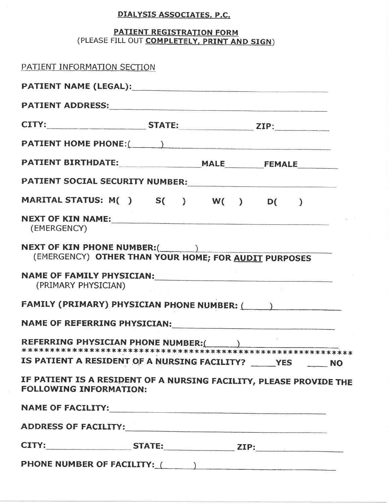# DIALYSIS ASSOCIATES, P.C.

### PATIENT REGISTRATION FORM (PLEASE FILL OUT COMPLETELY, PRINT AND SIGN)

| PATIENT INFORMATION SECTION                                                                                                                                                                                                    |  |  |
|--------------------------------------------------------------------------------------------------------------------------------------------------------------------------------------------------------------------------------|--|--|
|                                                                                                                                                                                                                                |  |  |
|                                                                                                                                                                                                                                |  |  |
|                                                                                                                                                                                                                                |  |  |
|                                                                                                                                                                                                                                |  |  |
|                                                                                                                                                                                                                                |  |  |
| PATIENT SOCIAL SECURITY NUMBER:                                                                                                                                                                                                |  |  |
| MARITAL STATUS: M() S() W() D()                                                                                                                                                                                                |  |  |
| NEXT OF KIN NAME:<br>(EMERGENCY)                                                                                                                                                                                               |  |  |
| (EMERGENCY) OTHER THAN YOUR HOME; FOR AUDIT PURPOSES                                                                                                                                                                           |  |  |
| NAME OF FAMILY PHYSICIAN:<br>(PRIMARY PHYSICIAN)                                                                                                                                                                               |  |  |
| FAMILY (PRIMARY) PHYSICIAN PHONE NUMBER: (All Alexandree School School School School School School School School School School School School School School School School School School School School School School School Scho |  |  |
|                                                                                                                                                                                                                                |  |  |
| REFERRING PHYSICIAN PHONE NUMBER:( )                                                                                                                                                                                           |  |  |
| IS PATIENT A RESIDENT OF A NURSING FACILITY? ______ YES ______ NO                                                                                                                                                              |  |  |
| IF PATIENT IS A RESIDENT OF A NURSING FACILITY, PLEASE PROVIDE THE<br><b>FOLLOWING INFORMATION:</b>                                                                                                                            |  |  |
|                                                                                                                                                                                                                                |  |  |
| ADDRESS OF FACILITY:                                                                                                                                                                                                           |  |  |
| CITY; STATE: ZIP; ZIP;                                                                                                                                                                                                         |  |  |
| PHONE NUMBER OF FACILITY: (All Allenander School School School School School School School School School School School School School School School School School School School School School School School School School Schoo |  |  |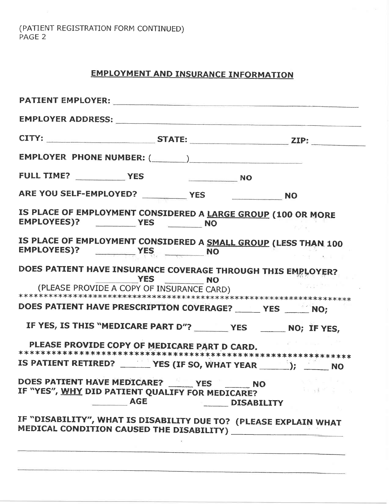(PATIENT REGISTRATION FORM CONTINUED)<br>PAGE 2

# **EMPLOYMENT AND INSURANCE INFORMATION**

| EMPLOYER ADDRESS: NAMEL AND THE SERVICE OF STRAIN CONTROL CONTROL CONTROL CONTROL CONTROL CONTROL CONTROL CONTROL CONTROL CONTROL CONTROL CONTROL CONTROL CONTROL CONTROL CONTROL CONTROL CONTROL CONTROL CONTROL CONTROL CONT |                      |                            |                                |                               |  |
|--------------------------------------------------------------------------------------------------------------------------------------------------------------------------------------------------------------------------------|----------------------|----------------------------|--------------------------------|-------------------------------|--|
|                                                                                                                                                                                                                                |                      |                            |                                |                               |  |
|                                                                                                                                                                                                                                |                      |                            |                                |                               |  |
|                                                                                                                                                                                                                                |                      |                            |                                |                               |  |
|                                                                                                                                                                                                                                |                      |                            |                                |                               |  |
| IS PLACE OF EMPLOYMENT CONSIDERED A LARGE GROUP (100 OR MORE<br>EMPLOYEES)? YES NO                                                                                                                                             |                      |                            |                                |                               |  |
| IS PLACE OF EMPLOYMENT CONSIDERED A SMALL GROUP (LESS THAN 100                                                                                                                                                                 |                      |                            |                                |                               |  |
| DOES PATIENT HAVE INSURANCE COVERAGE THROUGH THIS EMPLOYER?                                                                                                                                                                    | YES NO               |                            |                                |                               |  |
| (PLEASE PROVIDE A COPY OF INSURANCE CARD)                                                                                                                                                                                      |                      |                            |                                | ***************************** |  |
| DOES PATIENT HAVE PRESCRIPTION COVERAGE? ______ YES _______ NO;                                                                                                                                                                |                      |                            |                                |                               |  |
| IF YES, IS THIS "MEDICARE PART D"? ________ YES _______ NO; IF YES,                                                                                                                                                            |                      |                            |                                |                               |  |
| PLEASE PROVIDE COPY OF MEDICARE PART D CARD.                                                                                                                                                                                   |                      |                            |                                |                               |  |
| IS PATIENT RETIRED? _______ YES (IF SO, WHAT YEAR _______); _______ NO                                                                                                                                                         |                      |                            |                                |                               |  |
| DOES PATTENT HAVE MEDICARE? VES<br>IF "YES", WHY DID PATIENT QUALIFY FOR MEDICARE?                                                                                                                                             | <b>Example 2</b> AGE | The company of the company | <b>NO</b><br><b>DISABILITY</b> | kiad Pi∃                      |  |
| IF "DISABILITY", WHAT IS DISABILITY DUE TO? (PLEASE EXPLAIN WHAT                                                                                                                                                               |                      |                            |                                |                               |  |
|                                                                                                                                                                                                                                |                      |                            |                                |                               |  |
|                                                                                                                                                                                                                                |                      |                            |                                |                               |  |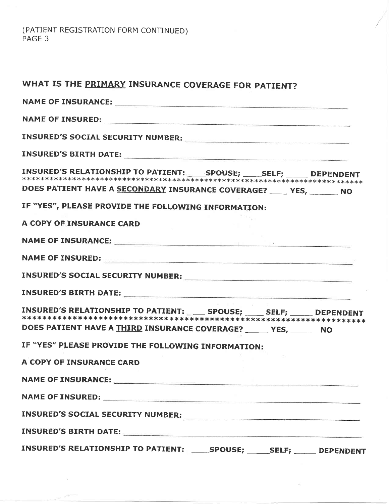(PATIENT REGISTRATION FORM CONTINUED)<br>PAGE 3

| WHAT IS THE PRIMARY INSURANCE COVERAGE FOR PATIENT?                                                                                                                                                                            |
|--------------------------------------------------------------------------------------------------------------------------------------------------------------------------------------------------------------------------------|
|                                                                                                                                                                                                                                |
|                                                                                                                                                                                                                                |
|                                                                                                                                                                                                                                |
|                                                                                                                                                                                                                                |
| INSURED'S RELATIONSHIP TO PATIENT: SPOUSE; ______ SELF; ______ DEPENDENT                                                                                                                                                       |
| DOES PATIENT HAVE A SECONDARY INSURANCE COVERAGE? _____ YES, _______ NO                                                                                                                                                        |
| IF "YES", PLEASE PROVIDE THE FOLLOWING INFORMATION:                                                                                                                                                                            |
| A COPY OF INSURANCE CARD                                                                                                                                                                                                       |
| NAME OF INSURANCE: NAME OF TRISONAL CONTRACT CONTRACT OF THE CONTRACT OF THE CONTRACT OF THE CONTRACT OF THE CONTRACT OF THE CONTRACT OF THE CONTRACT OF THE CONTRACT OF THE CONTRACT OF THE CONTRACT OF THE CONTRACT OF THE C |
|                                                                                                                                                                                                                                |
|                                                                                                                                                                                                                                |
| INSURED'S BIRTH DATE: NAMEL SERVICES SERVICES SERVICES SERVICES SERVICES SERVICES SERVICES SERVICES SERVICES S                                                                                                                 |
| INSURED'S RELATIONSHIP TO PATIENT: _____ SPOUSE; _____ SELF; _____ DEPENDENT<br>DOES PATIENT HAVE A THIRD INSURANCE COVERAGE? ______ YES, _______ NO                                                                           |
| IF "YES" PLEASE PROVIDE THE FOLLOWING INFORMATION:                                                                                                                                                                             |
| A COPY OF INSURANCE CARD                                                                                                                                                                                                       |
| NAME OF INSURANCE:                                                                                                                                                                                                             |
|                                                                                                                                                                                                                                |
|                                                                                                                                                                                                                                |
| INSURED'S BIRTH DATE: NAMEL AND RESERVE TO A SERIES OF THE SERIES OF THE SERIES OF THE SERIES OF THE SERIES OF THE SERIES OF THE SERIES OF THE SERIES OF THE SERIES OF THE SERIES OF THE SERIES OF THE SERIES OF THE SERIES OF |
| INSURED'S RELATIONSHIP TO PATIENT: ______SPOUSE; ______SELF; ______ DEPENDENT                                                                                                                                                  |